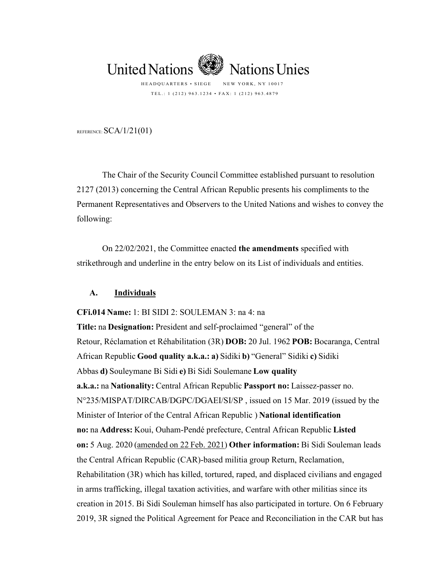

REFERENCE:  $SCA/1/21(01)$ 

The Chair of the Security Council Committee established pursuant to resolution 2127 (2013) concerning the Central African Republic presents his compliments to the Permanent Representatives and Observers to the United Nations and wishes to convey the following:

On 22/02/2021, the Committee enacted **the amendments** specified with strikethrough and underline in the entry below on its List of individuals and entities.

## **A. Individuals**

**CFi.014 Name:**1: BI SIDI 2: SOULEMAN 3: na 4: na **Title:**na**Designation:**President and self-proclaimed "general" of the Retour, Réclamation et Réhabilitation (3R) **DOB:**20 Jul. 1962**POB:**Bocaranga, Central African Republic **Good quality a.k.a.: a)**Sidiki**b)**"General" Sidiki **c)**Sidiki Abbas **d)**Souleymane Bi Sidi **e)**Bi Sidi Soulemane **Low quality a.k.a.:**na**Nationality:**Central African Republic**Passport no:**Laissez-passer no. N°235/MISPAT/DIRCAB/DGPC/DGAEI/SI/SP , issued on 15 Mar. 2019 (issued by the Minister of Interior of the Central African Republic ) **National identification no:**na**Address:**Koui, Ouham-Pendé prefecture, Central African Republic **Listed on:**5 Aug. 2020 (amended on 22 Feb. 2021) **Other information:**Bi Sidi Souleman leads the Central African Republic (CAR)-based militia group Return, Reclamation, Rehabilitation (3R) which has killed, tortured, raped, and displaced civilians and engaged in arms trafficking, illegal taxation activities, and warfare with other militias since its creation in 2015. Bi Sidi Souleman himself has also participated in torture. On 6 February 2019, 3R signed the Political Agreement for Peace and Reconciliation in the CAR but has